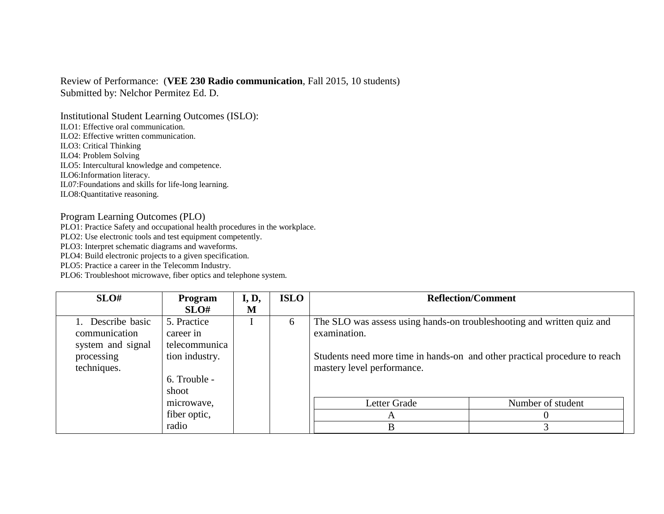## Review of Performance: (**VEE 230 Radio communication**, Fall 2015, 10 students)

Submitted by: Nelchor Permitez Ed. D.

Institutional Student Learning Outcomes (ISLO): ILO1: Effective oral communication. ILO2: Effective written communication. ILO3: Critical Thinking ILO4: Problem Solving ILO5: Intercultural knowledge and competence.

ILO6:Information literacy.

IL07:Foundations and skills for life-long learning.

ILO8:Quantitative reasoning.

## Program Learning Outcomes (PLO)

PLO1: Practice Safety and occupational health procedures in the workplace.

PLO2: Use electronic tools and test equipment competently.

PLO3: Interpret schematic diagrams and waveforms.

PLO4: Build electronic projects to a given specification.

PLO5: Practice a career in the Telecomm Industry.

PLO6: Troubleshoot microwave, fiber optics and telephone system.

| SLO#              | Program        | I, D, | <b>ISLO</b> |                                                                            | <b>Reflection/Comment</b> |
|-------------------|----------------|-------|-------------|----------------------------------------------------------------------------|---------------------------|
|                   | SLO#           | M     |             |                                                                            |                           |
| 1. Describe basic | 5. Practice    |       | 6           | The SLO was assess using hands-on troubleshooting and written quiz and     |                           |
| communication     | career in      |       |             | examination.                                                               |                           |
| system and signal | telecommunica  |       |             |                                                                            |                           |
| processing        | tion industry. |       |             | Students need more time in hands-on and other practical procedure to reach |                           |
| techniques.       |                |       |             | mastery level performance.                                                 |                           |
|                   | 6. Trouble -   |       |             |                                                                            |                           |
|                   | shoot          |       |             |                                                                            |                           |
|                   | microwave.     |       |             | Letter Grade                                                               | Number of student         |
|                   | fiber optic,   |       |             | $\Delta$                                                                   |                           |
|                   | radio          |       |             | B                                                                          |                           |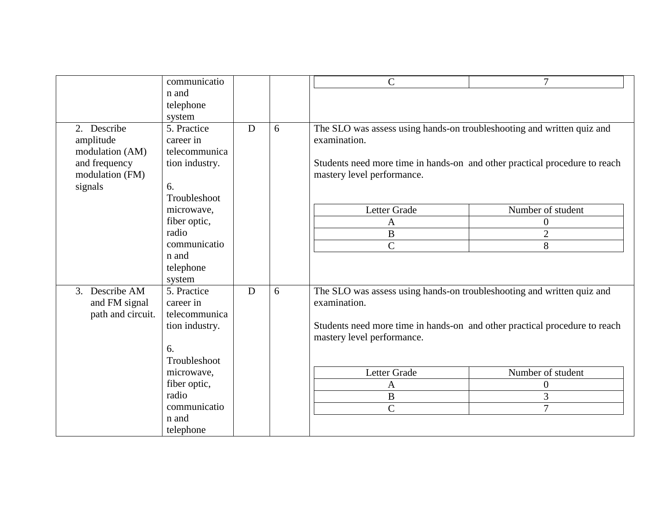|                   | communicatio   |   |   | $\mathsf{C}$                                                               | $\overline{7}$    |
|-------------------|----------------|---|---|----------------------------------------------------------------------------|-------------------|
|                   | n and          |   |   |                                                                            |                   |
|                   | telephone      |   |   |                                                                            |                   |
|                   | system         |   |   |                                                                            |                   |
| 2. Describe       | 5. Practice    | D | 6 | The SLO was assess using hands-on troubleshooting and written quiz and     |                   |
| amplitude         | career in      |   |   | examination.                                                               |                   |
| modulation (AM)   | telecommunica  |   |   |                                                                            |                   |
| and frequency     | tion industry. |   |   | Students need more time in hands-on and other practical procedure to reach |                   |
| modulation (FM)   |                |   |   | mastery level performance.                                                 |                   |
| signals           | 6.             |   |   |                                                                            |                   |
|                   | Troubleshoot   |   |   |                                                                            |                   |
|                   | microwave,     |   |   | Letter Grade                                                               | Number of student |
|                   | fiber optic,   |   |   | A                                                                          | $\overline{0}$    |
|                   | radio          |   |   | $\, {\bf B}$                                                               | $\overline{2}$    |
|                   | communicatio   |   |   | $\overline{C}$                                                             | 8                 |
|                   | n and          |   |   |                                                                            |                   |
|                   | telephone      |   |   |                                                                            |                   |
|                   | system         |   |   |                                                                            |                   |
| 3. Describe AM    | 5. Practice    | D | 6 | The SLO was assess using hands-on troubleshooting and written quiz and     |                   |
| and FM signal     | career in      |   |   | examination.                                                               |                   |
| path and circuit. | telecommunica  |   |   |                                                                            |                   |
|                   | tion industry. |   |   | Students need more time in hands-on and other practical procedure to reach |                   |
|                   |                |   |   | mastery level performance.                                                 |                   |
|                   | 6.             |   |   |                                                                            |                   |
|                   | Troubleshoot   |   |   |                                                                            |                   |
|                   | microwave,     |   |   | Letter Grade                                                               | Number of student |
|                   | fiber optic,   |   |   | $\mathbf{A}$                                                               | $\boldsymbol{0}$  |
|                   | radio          |   |   | $\, {\bf B}$                                                               | 3                 |
|                   | communicatio   |   |   | $\mathbf C$                                                                | 7                 |
|                   | n and          |   |   |                                                                            |                   |
|                   | telephone      |   |   |                                                                            |                   |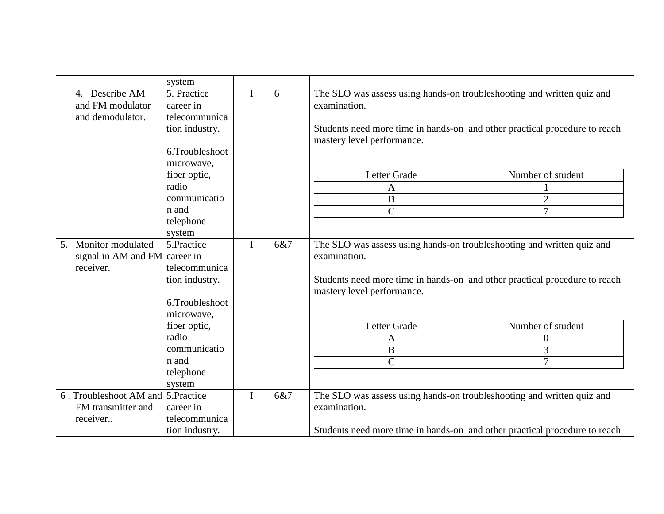|    |                                    | system         |             |     |                                                                            |                   |
|----|------------------------------------|----------------|-------------|-----|----------------------------------------------------------------------------|-------------------|
|    | 4. Describe AM                     | 5. Practice    |             | 6   | The SLO was assess using hands-on troubleshooting and written quiz and     |                   |
|    | and FM modulator                   | career in      |             |     | examination.                                                               |                   |
|    | and demodulator.                   | telecommunica  |             |     |                                                                            |                   |
|    |                                    | tion industry. |             |     | Students need more time in hands-on and other practical procedure to reach |                   |
|    |                                    |                |             |     | mastery level performance.                                                 |                   |
|    |                                    | 6.Troubleshoot |             |     |                                                                            |                   |
|    |                                    | microwave,     |             |     |                                                                            |                   |
|    |                                    | fiber optic,   |             |     | Letter Grade                                                               | Number of student |
|    |                                    | radio          |             |     | A                                                                          |                   |
|    |                                    | communicatio   |             |     | $\boldsymbol{B}$                                                           | $\overline{2}$    |
|    |                                    | n and          |             |     | $\overline{C}$                                                             | 7                 |
|    |                                    | telephone      |             |     |                                                                            |                   |
|    |                                    | system         |             |     |                                                                            |                   |
| 5. | Monitor modulated                  | 5.Practice     |             | 6&7 | The SLO was assess using hands-on troubleshooting and written quiz and     |                   |
|    | signal in AM and FM career in      |                |             |     | examination.                                                               |                   |
|    | receiver.                          | telecommunica  |             |     |                                                                            |                   |
|    |                                    | tion industry. |             |     | Students need more time in hands-on and other practical procedure to reach |                   |
|    |                                    |                |             |     | mastery level performance.                                                 |                   |
|    |                                    | 6.Troubleshoot |             |     |                                                                            |                   |
|    |                                    | microwave,     |             |     |                                                                            |                   |
|    |                                    | fiber optic,   |             |     | Letter Grade                                                               | Number of student |
|    |                                    | radio          |             |     | A                                                                          | 0                 |
|    |                                    | communicatio   |             |     | $\, {\bf B}$                                                               | 3                 |
|    |                                    | n and          |             |     | $\overline{C}$                                                             | $\overline{7}$    |
|    |                                    | telephone      |             |     |                                                                            |                   |
|    |                                    | system         |             |     |                                                                            |                   |
|    | 6. Troubleshoot AM and 5. Practice |                | $\mathbf I$ | 6&7 | The SLO was assess using hands-on troubleshooting and written quiz and     |                   |
|    | FM transmitter and                 | career in      |             |     | examination.                                                               |                   |
|    | receiver                           | telecommunica  |             |     |                                                                            |                   |
|    |                                    | tion industry. |             |     | Students need more time in hands-on and other practical procedure to reach |                   |